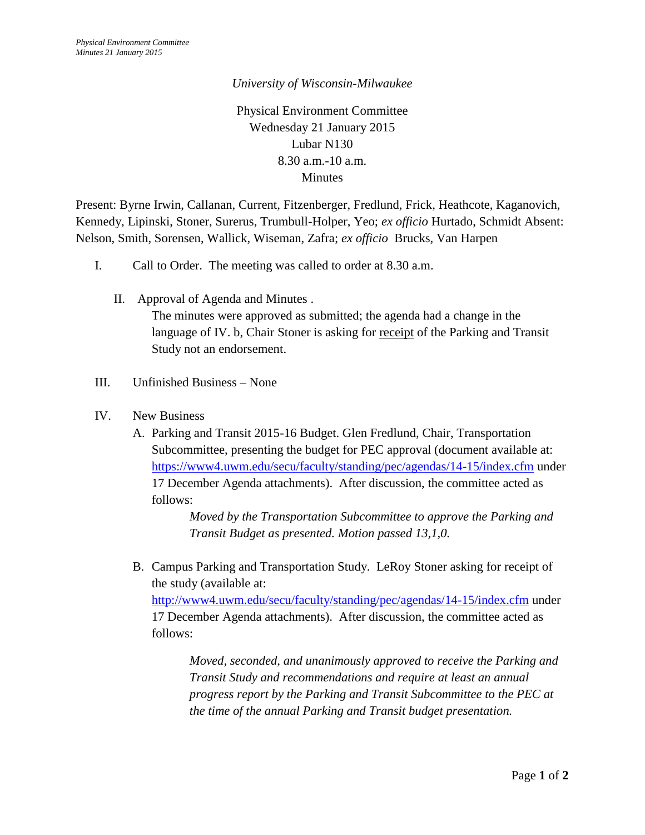## *University of Wisconsin-Milwaukee*

Physical Environment Committee Wednesday 21 January 2015 Lubar N130 8.30 a.m.-10 a.m. **Minutes** 

Present: Byrne Irwin, Callanan, Current, Fitzenberger, Fredlund, Frick, Heathcote, Kaganovich, Kennedy, Lipinski, Stoner, Surerus, Trumbull-Holper, Yeo; *ex officio* Hurtado, Schmidt Absent: Nelson, Smith, Sorensen, Wallick, Wiseman, Zafra; *ex officio* Brucks, Van Harpen

- I. Call to Order. The meeting was called to order at 8.30 a.m.
	- II. Approval of Agenda and Minutes . The minutes were approved as submitted; the agenda had a change in the language of IV. b, Chair Stoner is asking for receipt of the Parking and Transit Study not an endorsement.
- III. Unfinished Business None
- IV. New Business
	- A. Parking and Transit 2015-16 Budget. Glen Fredlund, Chair, Transportation Subcommittee, presenting the budget for PEC approval (document available at: <https://www4.uwm.edu/secu/faculty/standing/pec/agendas/14-15/index.cfm> under 17 December Agenda attachments). After discussion, the committee acted as follows:

*Moved by the Transportation Subcommittee to approve the Parking and Transit Budget as presented. Motion passed 13,1,0.*

B. Campus Parking and Transportation Study. LeRoy Stoner asking for receipt of the study (available at:

<http://www4.uwm.edu/secu/faculty/standing/pec/agendas/14-15/index.cfm> under 17 December Agenda attachments). After discussion, the committee acted as follows:

*Moved, seconded, and unanimously approved to receive the Parking and Transit Study and recommendations and require at least an annual progress report by the Parking and Transit Subcommittee to the PEC at the time of the annual Parking and Transit budget presentation.*